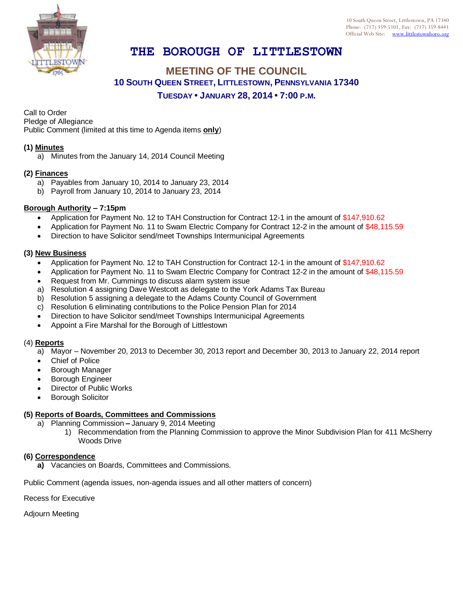

# **THE BOROUGH OF LITTLESTOWN**

# **MEETING OF THE COUNCIL 10 SOUTH QUEEN STREET, LITTLESTOWN, PENNSYLVANIA 17340 TUESDAY • JANUARY 28, 2014 • 7:00 P.M.**

Call to Order

Pledge of Allegiance

Public Comment (limited at this time to Agenda items **only**)

## **(1) Minutes**

a) Minutes from the January 14, 2014 Council Meeting

#### **(2) Finances**

- a) Payables from January 10, 2014 to January 23, 2014
- b) Payroll from January 10, 2014 to January 23, 2014

## **Borough Authority – 7:15pm**

- Application for Payment No. 12 to TAH Construction for Contract 12-1 in the amount of \$147,910.62
- Application for Payment No. 11 to Swam Electric Company for Contract 12-2 in the amount of \$48,115.59
- Direction to have Solicitor send/meet Townships Intermunicipal Agreements

## **(3) New Business**

- Application for Payment No. 12 to TAH Construction for Contract 12-1 in the amount of \$147,910.62
- Application for Payment No. 11 to Swam Electric Company for Contract 12-2 in the amount of \$48,115.59
- Request from Mr. Cummings to discuss alarm system issue
- a) Resolution 4 assigning Dave Westcott as delegate to the York Adams Tax Bureau
- b) Resolution 5 assigning a delegate to the Adams County Council of Government
- c) Resolution 6 eliminating contributions to the Police Pension Plan for 2014
- Direction to have Solicitor send/meet Townships Intermunicipal Agreements
- Appoint a Fire Marshal for the Borough of Littlestown

## (4) **Reports**

a) Mayor – November 20, 2013 to December 30, 2013 report and December 30, 2013 to January 22, 2014 report

- Chief of Police
- Borough Manager
- Borough Engineer
- Director of Public Works
- Borough Solicitor

## **(5) Reports of Boards, Committees and Commissions**

- a) Planning Commission **–** January 9, 2014 Meeting
	- 1) Recommendation from the Planning Commission to approve the Minor Subdivision Plan for 411 McSherry Woods Drive

## **(6) Correspondence**

**a)** Vacancies on Boards, Committees and Commissions.

Public Comment (agenda issues, non-agenda issues and all other matters of concern)

Recess for Executive

Adjourn Meeting